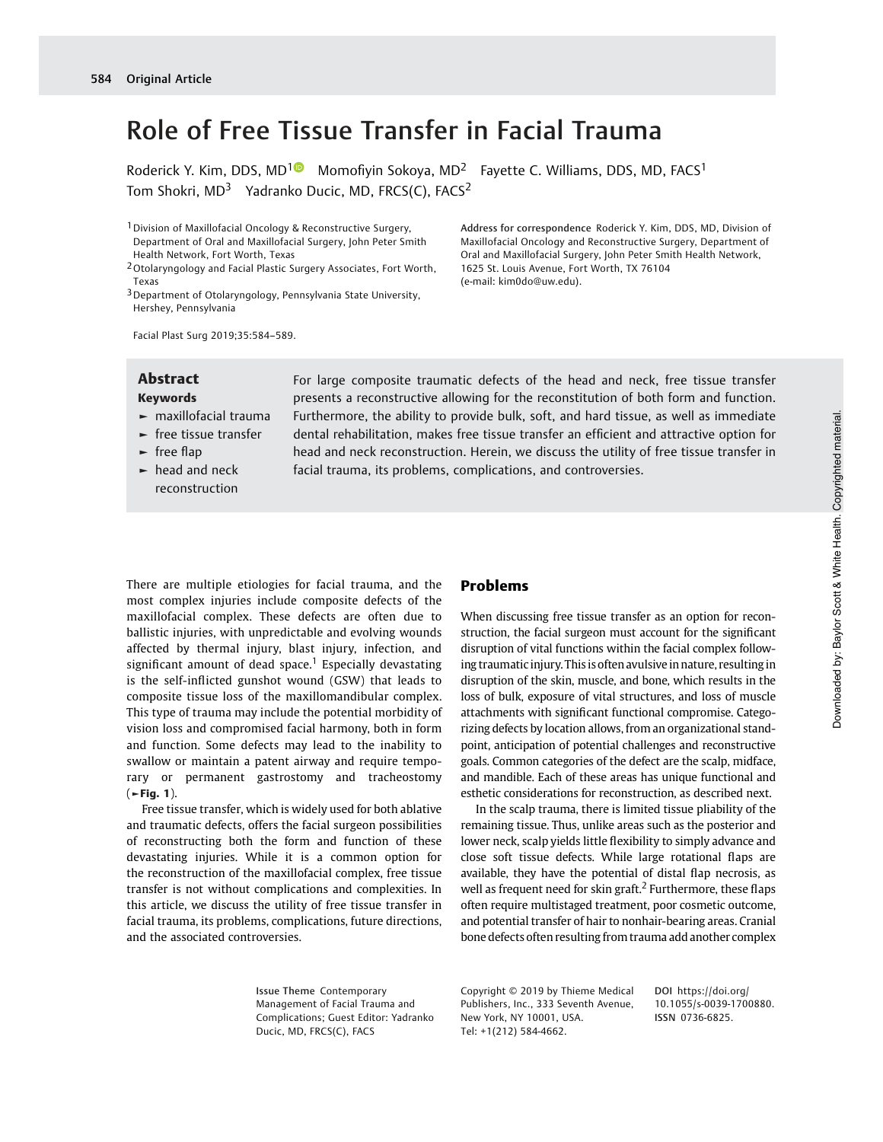# Role of Free Tissue Transfer in Facial Trauma

Roderick Y. Kim, DDS, MD<sup>[1](https://orcid.org/0000-0002-5287-8793)0</sup> Momofiyin Sokoya, MD<sup>2</sup> Fayette C. Williams, DDS, MD, FACS<sup>1</sup> Tom Shokri, MD<sup>3</sup> Yadranko Ducic, MD, FRCS(C), FACS<sup>2</sup>

1Division of Maxillofacial Oncology & Reconstructive Surgery, Department of Oral and Maxillofacial Surgery, John Peter Smith Health Network, Fort Worth, Texas

2Otolaryngology and Facial Plastic Surgery Associates, Fort Worth, Texas

3Department of Otolaryngology, Pennsylvania State University, Hershey, Pennsylvania

Facial Plast Surg 2019;35:584–589.

# Keywords

- ► maxillofacial trauma
- ► free tissue transfer
- ► free flap
- ► head and neck reconstruction

Abstract For large composite traumatic defects of the head and neck, free tissue transfer presents a reconstructive allowing for the reconstitution of both form and function. Furthermore, the ability to provide bulk, soft, and hard tissue, as well as immediate dental rehabilitation, makes free tissue transfer an efficient and attractive option for head and neck reconstruction. Herein, we discuss the utility of free tissue transfer in facial trauma, its problems, complications, and controversies.

There are multiple etiologies for facial trauma, and the most complex injuries include composite defects of the maxillofacial complex. These defects are often due to ballistic injuries, with unpredictable and evolving wounds affected by thermal injury, blast injury, infection, and significant amount of dead space.<sup>1</sup> Especially devastating is the self-inflicted gunshot wound (GSW) that leads to composite tissue loss of the maxillomandibular complex. This type of trauma may include the potential morbidity of vision loss and compromised facial harmony, both in form and function. Some defects may lead to the inability to swallow or maintain a patent airway and require temporary or permanent gastrostomy and tracheostomy (►Fig. 1).

Free tissue transfer, which is widely used for both ablative and traumatic defects, offers the facial surgeon possibilities of reconstructing both the form and function of these devastating injuries. While it is a common option for the reconstruction of the maxillofacial complex, free tissue transfer is not without complications and complexities. In this article, we discuss the utility of free tissue transfer in facial trauma, its problems, complications, future directions, and the associated controversies.

### Problems

When discussing free tissue transfer as an option for reconstruction, the facial surgeon must account for the significant disruption of vital functions within the facial complex following traumatic injury. This is often avulsive in nature, resulting in disruption of the skin, muscle, and bone, which results in the loss of bulk, exposure of vital structures, and loss of muscle attachments with significant functional compromise. Categorizing defects by location allows, from an organizational standpoint, anticipation of potential challenges and reconstructive goals. Common categories of the defect are the scalp, midface, and mandible. Each of these areas has unique functional and esthetic considerations for reconstruction, as described next.

In the scalp trauma, there is limited tissue pliability of the remaining tissue. Thus, unlike areas such as the posterior and lower neck, scalp yields little flexibility to simply advance and close soft tissue defects. While large rotational flaps are available, they have the potential of distal flap necrosis, as well as frequent need for skin graft.<sup>2</sup> Furthermore, these flaps often require multistaged treatment, poor cosmetic outcome, and potential transfer of hair to nonhair-bearing areas. Cranial bone defects often resulting from trauma add another complex

Issue Theme Contemporary Management of Facial Trauma and Complications; Guest Editor: Yadranko Ducic, MD, FRCS(C), FACS

Copyright © 2019 by Thieme Medical Publishers, Inc., 333 Seventh Avenue, New York, NY 10001, USA. Tel: +1(212) 584-4662.

DOI [https://doi.org/](https://doi.org/10.1055/s-0039-1700880) [10.1055/s-0039-1700880](https://doi.org/10.1055/s-0039-1700880). ISSN 0736-6825.

Address for correspondence Roderick Y. Kim, DDS, MD, Division of Maxillofacial Oncology and Reconstructive Surgery, Department of Oral and Maxillofacial Surgery, John Peter Smith Health Network, 1625 St. Louis Avenue, Fort Worth, TX 76104 (e-mail: [kim0do@uw.edu](mailto:kim0do@uw.edu)).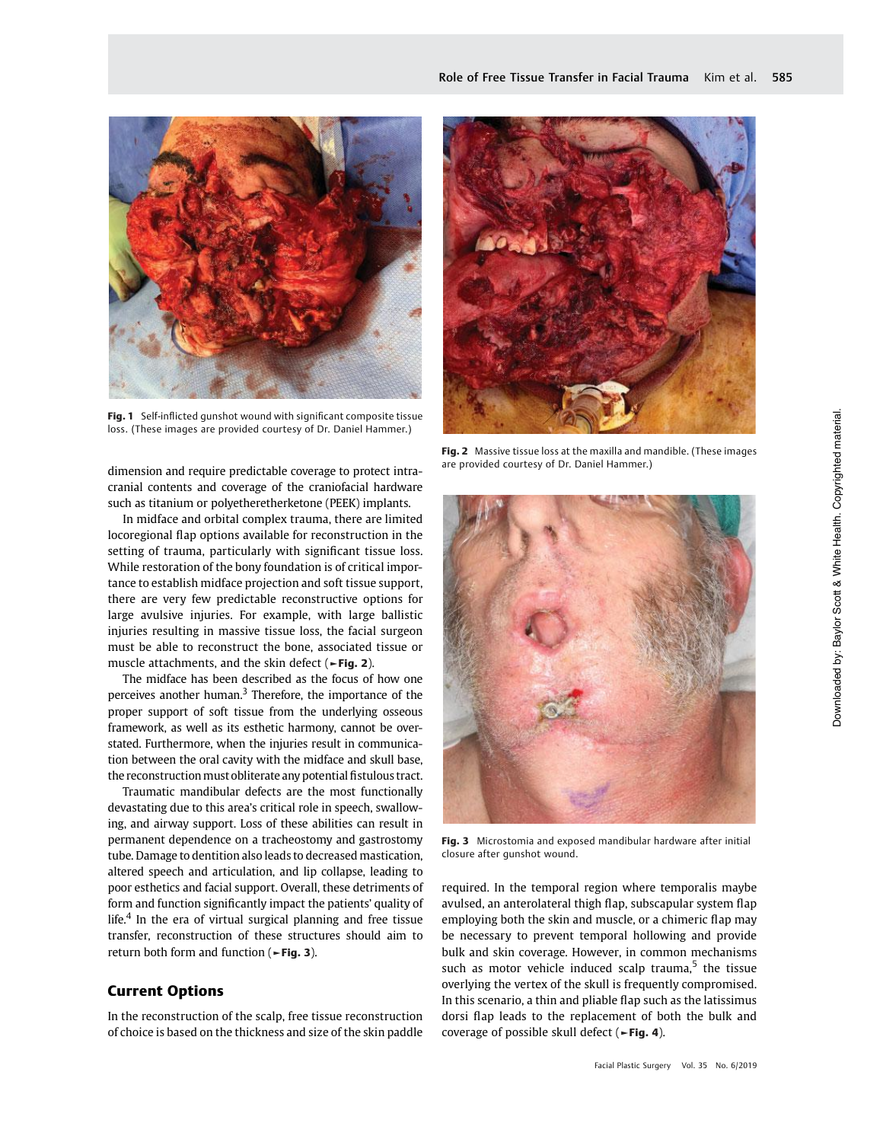

Fig. 1 Self-inflicted gunshot wound with significant composite tissue loss. (These images are provided courtesy of Dr. Daniel Hammer.)

dimension and require predictable coverage to protect intracranial contents and coverage of the craniofacial hardware such as titanium or polyetheretherketone (PEEK) implants.

In midface and orbital complex trauma, there are limited locoregional flap options available for reconstruction in the setting of trauma, particularly with significant tissue loss. While restoration of the bony foundation is of critical importance to establish midface projection and soft tissue support, there are very few predictable reconstructive options for large avulsive injuries. For example, with large ballistic injuries resulting in massive tissue loss, the facial surgeon must be able to reconstruct the bone, associated tissue or muscle attachments, and the skin defect (►Fig. 2).

The midface has been described as the focus of how one perceives another human. $3$  Therefore, the importance of the proper support of soft tissue from the underlying osseous framework, as well as its esthetic harmony, cannot be overstated. Furthermore, when the injuries result in communication between the oral cavity with the midface and skull base, the reconstruction must obliterate any potential fistulous tract.

Traumatic mandibular defects are the most functionally devastating due to this area's critical role in speech, swallowing, and airway support. Loss of these abilities can result in permanent dependence on a tracheostomy and gastrostomy tube. Damage to dentition also leads to decreased mastication, altered speech and articulation, and lip collapse, leading to poor esthetics and facial support. Overall, these detriments of form and function significantly impact the patients' quality of life. $4$  In the era of virtual surgical planning and free tissue transfer, reconstruction of these structures should aim to return both form and function (►Fig. 3).

## Current Options

In the reconstruction of the scalp, free tissue reconstruction of choice is based on the thickness and size of the skin paddle



Fig. 2 Massive tissue loss at the maxilla and mandible. (These images are provided courtesy of Dr. Daniel Hammer.)



Fig. 3 Microstomia and exposed mandibular hardware after initial closure after gunshot wound.

required. In the temporal region where temporalis maybe avulsed, an anterolateral thigh flap, subscapular system flap employing both the skin and muscle, or a chimeric flap may be necessary to prevent temporal hollowing and provide bulk and skin coverage. However, in common mechanisms such as motor vehicle induced scalp trauma, $5$  the tissue overlying the vertex of the skull is frequently compromised. In this scenario, a thin and pliable flap such as the latissimus dorsi flap leads to the replacement of both the bulk and coverage of possible skull defect (►Fig. 4).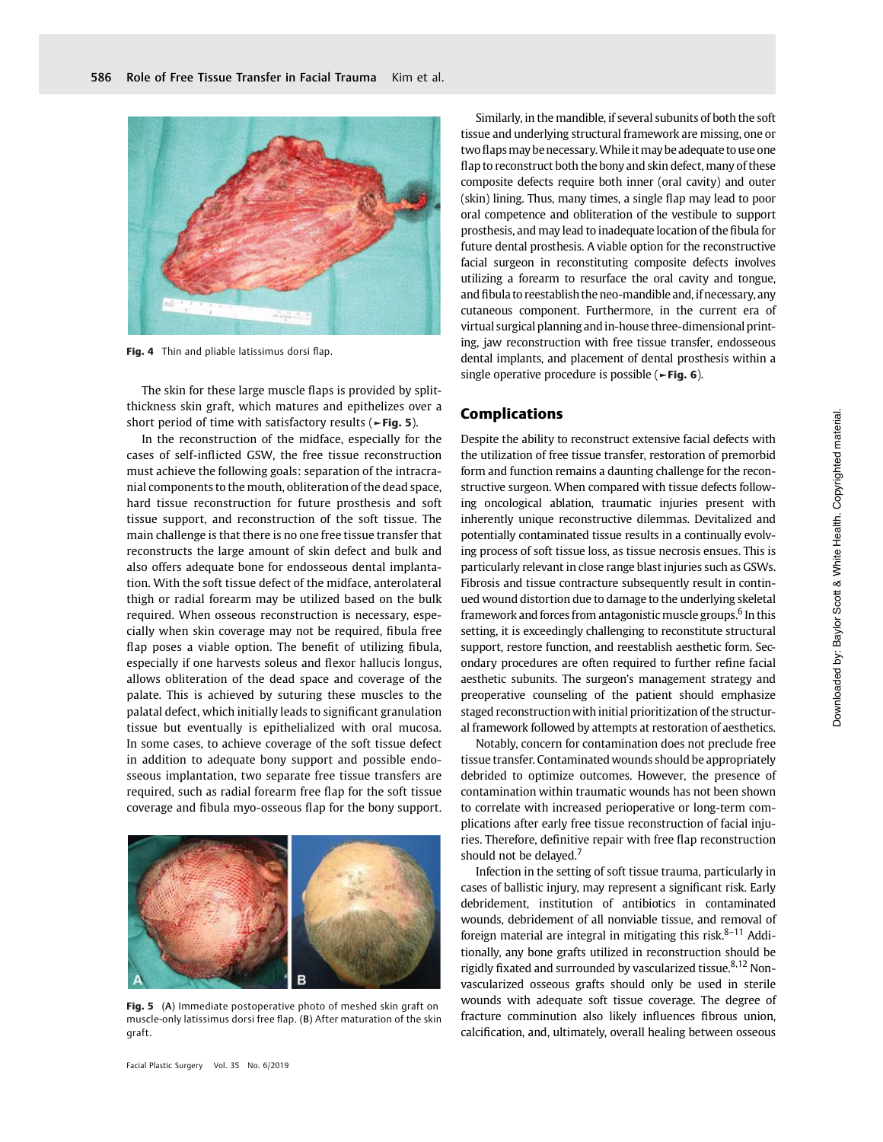

Fig. 4 Thin and pliable latissimus dorsi flap.

The skin for these large muscle flaps is provided by splitthickness skin graft, which matures and epithelizes over a short period of time with satisfactory results (►Fig. 5).

In the reconstruction of the midface, especially for the cases of self-inflicted GSW, the free tissue reconstruction must achieve the following goals: separation of the intracranial components to the mouth, obliteration of the dead space, hard tissue reconstruction for future prosthesis and soft tissue support, and reconstruction of the soft tissue. The main challenge is that there is no one free tissue transfer that reconstructs the large amount of skin defect and bulk and also offers adequate bone for endosseous dental implantation. With the soft tissue defect of the midface, anterolateral thigh or radial forearm may be utilized based on the bulk required. When osseous reconstruction is necessary, especially when skin coverage may not be required, fibula free flap poses a viable option. The benefit of utilizing fibula, especially if one harvests soleus and flexor hallucis longus, allows obliteration of the dead space and coverage of the palate. This is achieved by suturing these muscles to the palatal defect, which initially leads to significant granulation tissue but eventually is epithelialized with oral mucosa. In some cases, to achieve coverage of the soft tissue defect in addition to adequate bony support and possible endosseous implantation, two separate free tissue transfers are required, such as radial forearm free flap for the soft tissue coverage and fibula myo-osseous flap for the bony support.



**Fig. 5** (A) Immediate postoperative photo of meshed skin graft on muscle-only latissimus dorsi free flap. (B) After maturation of the skin graft.

Similarly, in the mandible, if several subunits of both the soft tissue and underlying structural framework are missing, one or two flaps may be necessary. While it may be adequate to use one flap to reconstruct both the bony and skin defect, many of these composite defects require both inner (oral cavity) and outer (skin) lining. Thus, many times, a single flap may lead to poor oral competence and obliteration of the vestibule to support prosthesis, and may lead to inadequate location of the fibula for future dental prosthesis. A viable option for the reconstructive facial surgeon in reconstituting composite defects involves utilizing a forearm to resurface the oral cavity and tongue, and fibula to reestablish the neo-mandible and, if necessary, any cutaneous component. Furthermore, in the current era of virtual surgical planning and in-house three-dimensional printing, jaw reconstruction with free tissue transfer, endosseous dental implants, and placement of dental prosthesis within a single operative procedure is possible ( $\blacktriangleright$ Fig. 6).

### Complications

Despite the ability to reconstruct extensive facial defects with the utilization of free tissue transfer, restoration of premorbid form and function remains a daunting challenge for the reconstructive surgeon. When compared with tissue defects following oncological ablation, traumatic injuries present with inherently unique reconstructive dilemmas. Devitalized and potentially contaminated tissue results in a continually evolving process of soft tissue loss, as tissue necrosis ensues. This is particularly relevant in close range blast injuries such as GSWs. Fibrosis and tissue contracture subsequently result in continued wound distortion due to damage to the underlying skeletal framework and forces from antagonistic muscle groups.<sup>6</sup> In this setting, it is exceedingly challenging to reconstitute structural support, restore function, and reestablish aesthetic form. Secondary procedures are often required to further refine facial aesthetic subunits. The surgeon's management strategy and preoperative counseling of the patient should emphasize staged reconstruction with initial prioritization of the structural framework followed by attempts at restoration of aesthetics.

Notably, concern for contamination does not preclude free tissue transfer. Contaminated wounds should be appropriately debrided to optimize outcomes. However, the presence of contamination within traumatic wounds has not been shown to correlate with increased perioperative or long-term complications after early free tissue reconstruction of facial injuries. Therefore, definitive repair with free flap reconstruction should not be delayed. $<sup>7</sup>$ </sup>

Infection in the setting of soft tissue trauma, particularly in cases of ballistic injury, may represent a significant risk. Early debridement, institution of antibiotics in contaminated wounds, debridement of all nonviable tissue, and removal of foreign material are integral in mitigating this risk. $8-11$  Additionally, any bone grafts utilized in reconstruction should be rigidly fixated and surrounded by vascularized tissue.<sup>8,12</sup> Nonvascularized osseous grafts should only be used in sterile wounds with adequate soft tissue coverage. The degree of fracture comminution also likely influences fibrous union, calcification, and, ultimately, overall healing between osseous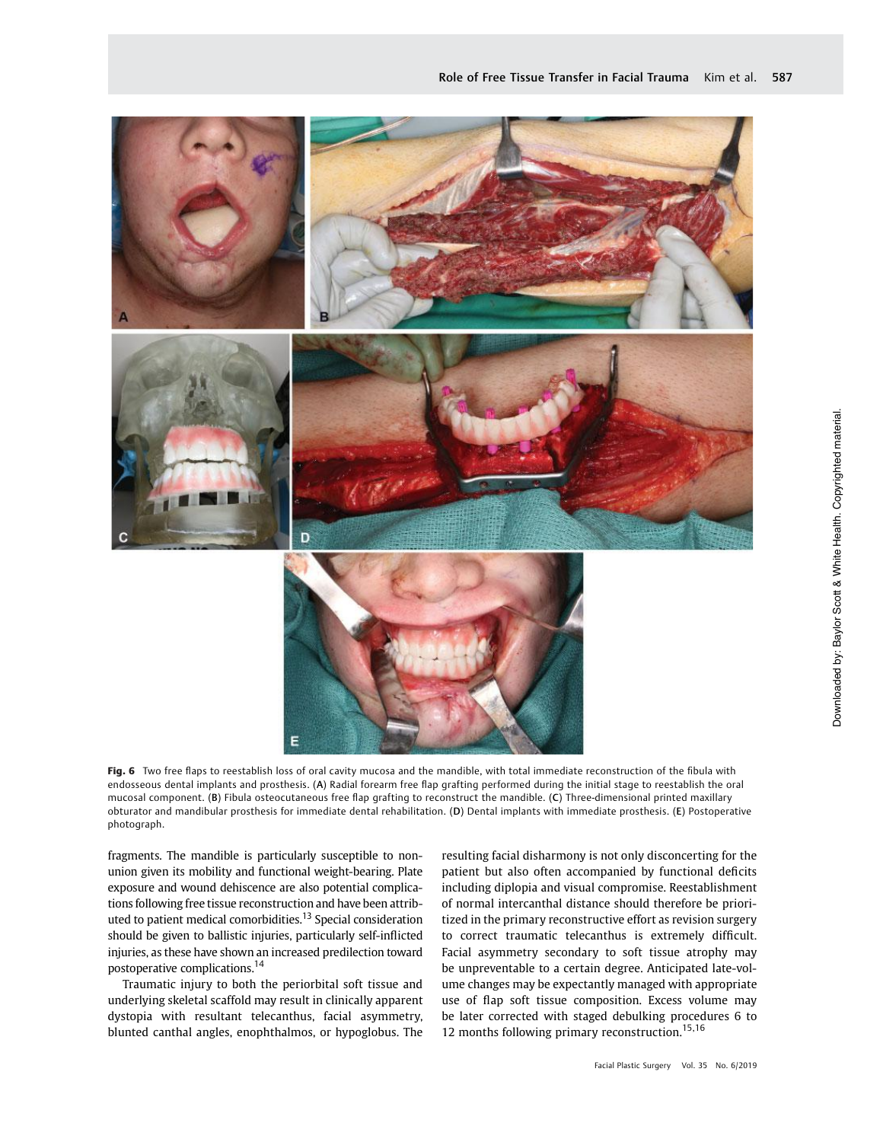

Fig. 6 Two free flaps to reestablish loss of oral cavity mucosa and the mandible, with total immediate reconstruction of the fibula with endosseous dental implants and prosthesis. (A) Radial forearm free flap grafting performed during the initial stage to reestablish the oral mucosal component. (B) Fibula osteocutaneous free flap grafting to reconstruct the mandible. (C) Three-dimensional printed maxillary obturator and mandibular prosthesis for immediate dental rehabilitation. (D) Dental implants with immediate prosthesis. (E) Postoperative photograph.

fragments. The mandible is particularly susceptible to nonunion given its mobility and functional weight-bearing. Plate exposure and wound dehiscence are also potential complications following free tissue reconstruction and have been attributed to patient medical comorbidities.<sup>13</sup> Special consideration should be given to ballistic injuries, particularly self-inflicted injuries, as these have shown an increased predilection toward postoperative complications.<sup>14</sup>

Traumatic injury to both the periorbital soft tissue and underlying skeletal scaffold may result in clinically apparent dystopia with resultant telecanthus, facial asymmetry, blunted canthal angles, enophthalmos, or hypoglobus. The resulting facial disharmony is not only disconcerting for the patient but also often accompanied by functional deficits including diplopia and visual compromise. Reestablishment of normal intercanthal distance should therefore be prioritized in the primary reconstructive effort as revision surgery to correct traumatic telecanthus is extremely difficult. Facial asymmetry secondary to soft tissue atrophy may be unpreventable to a certain degree. Anticipated late-volume changes may be expectantly managed with appropriate use of flap soft tissue composition. Excess volume may be later corrected with staged debulking procedures 6 to 12 months following primary reconstruction.<sup>15,16</sup>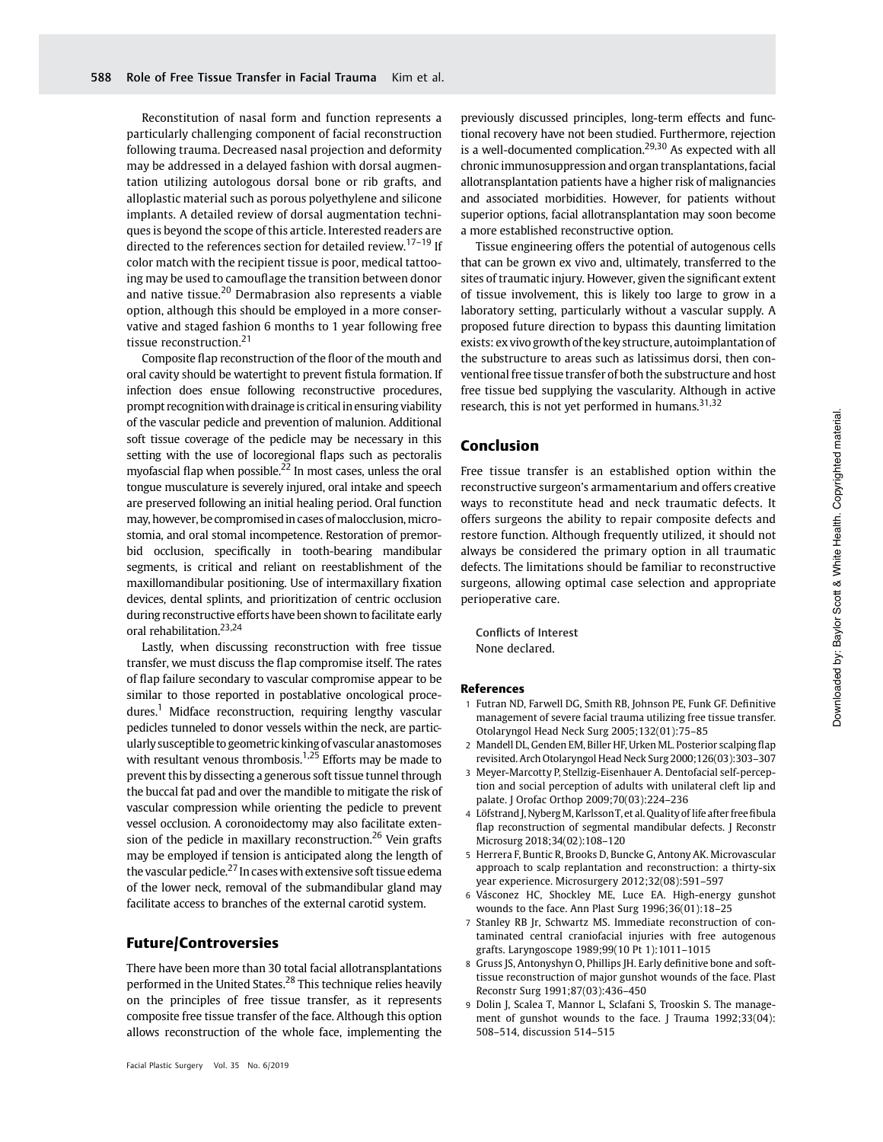Reconstitution of nasal form and function represents a particularly challenging component of facial reconstruction following trauma. Decreased nasal projection and deformity may be addressed in a delayed fashion with dorsal augmentation utilizing autologous dorsal bone or rib grafts, and alloplastic material such as porous polyethylene and silicone implants. A detailed review of dorsal augmentation techniques is beyond the scope of this article. Interested readers are directed to the references section for detailed review.<sup>17-19</sup> If color match with the recipient tissue is poor, medical tattooing may be used to camouflage the transition between donor and native tissue.<sup>20</sup> Dermabrasion also represents a viable option, although this should be employed in a more conservative and staged fashion 6 months to 1 year following free tissue reconstruction.<sup>21</sup>

Composite flap reconstruction of the floor of the mouth and oral cavity should be watertight to prevent fistula formation. If infection does ensue following reconstructive procedures, prompt recognition with drainage is critical in ensuring viability of the vascular pedicle and prevention of malunion. Additional soft tissue coverage of the pedicle may be necessary in this setting with the use of locoregional flaps such as pectoralis myofascial flap when possible.<sup>22</sup> In most cases, unless the oral tongue musculature is severely injured, oral intake and speech are preserved following an initial healing period. Oral function may, however, be compromised in cases of malocclusion, microstomia, and oral stomal incompetence. Restoration of premorbid occlusion, specifically in tooth-bearing mandibular segments, is critical and reliant on reestablishment of the maxillomandibular positioning. Use of intermaxillary fixation devices, dental splints, and prioritization of centric occlusion during reconstructive efforts have been shown to facilitate early oral rehabilitation.23,24

Lastly, when discussing reconstruction with free tissue transfer, we must discuss the flap compromise itself. The rates of flap failure secondary to vascular compromise appear to be similar to those reported in postablative oncological procedures.<sup>1</sup> Midface reconstruction, requiring lengthy vascular pedicles tunneled to donor vessels within the neck, are particularly susceptible to geometric kinking of vascular anastomoses with resultant venous thrombosis.<sup>1,25</sup> Efforts may be made to prevent this by dissecting a generous soft tissue tunnel through the buccal fat pad and over the mandible to mitigate the risk of vascular compression while orienting the pedicle to prevent vessel occlusion. A coronoidectomy may also facilitate extension of the pedicle in maxillary reconstruction.<sup>26</sup> Vein grafts may be employed if tension is anticipated along the length of the vascular pedicle.<sup>27</sup> In cases with extensive soft tissue edema of the lower neck, removal of the submandibular gland may facilitate access to branches of the external carotid system.

#### Future/Controversies

There have been more than 30 total facial allotransplantations performed in the United States.<sup>28</sup> This technique relies heavily on the principles of free tissue transfer, as it represents composite free tissue transfer of the face. Although this option allows reconstruction of the whole face, implementing the

previously discussed principles, long-term effects and functional recovery have not been studied. Furthermore, rejection is a well-documented complication.<sup>29,30</sup> As expected with all chronic immunosuppression and organ transplantations, facial allotransplantation patients have a higher risk of malignancies and associated morbidities. However, for patients without superior options, facial allotransplantation may soon become a more established reconstructive option.

Tissue engineering offers the potential of autogenous cells that can be grown ex vivo and, ultimately, transferred to the sites of traumatic injury. However, given the significant extent of tissue involvement, this is likely too large to grow in a laboratory setting, particularly without a vascular supply. A proposed future direction to bypass this daunting limitation exists: ex vivo growth of the key structure, autoimplantation of the substructure to areas such as latissimus dorsi, then conventional free tissue transfer of both the substructure and host free tissue bed supplying the vascularity. Although in active research, this is not yet performed in humans.<sup>31,32</sup>

#### Conclusion

Free tissue transfer is an established option within the reconstructive surgeon's armamentarium and offers creative ways to reconstitute head and neck traumatic defects. It offers surgeons the ability to repair composite defects and restore function. Although frequently utilized, it should not always be considered the primary option in all traumatic defects. The limitations should be familiar to reconstructive surgeons, allowing optimal case selection and appropriate perioperative care.

Conflicts of Interest None declared.

#### References

- 1 Futran ND, Farwell DG, Smith RB, Johnson PE, Funk GF. Definitive management of severe facial trauma utilizing free tissue transfer. Otolaryngol Head Neck Surg 2005;132(01):75–85
- 2 Mandell DL, Genden EM, Biller HF, Urken ML. Posterior scalping flap revisited. Arch Otolaryngol Head Neck Surg 2000;126(03):303–307
- 3 Meyer-Marcotty P, Stellzig-Eisenhauer A. Dentofacial self-perception and social perception of adults with unilateral cleft lip and palate. J Orofac Orthop 2009;70(03):224–236
- 4 Löfstrand J, NybergM, KarlssonT, et al. Quality of life after freefibula flap reconstruction of segmental mandibular defects. J Reconstr Microsurg 2018;34(02):108–120
- 5 Herrera F, Buntic R, Brooks D, Buncke G, Antony AK. Microvascular approach to scalp replantation and reconstruction: a thirty-six year experience. Microsurgery 2012;32(08):591–597
- 6 Vásconez HC, Shockley ME, Luce EA. High-energy gunshot wounds to the face. Ann Plast Surg 1996;36(01):18–25
- 7 Stanley RB Jr, Schwartz MS. Immediate reconstruction of contaminated central craniofacial injuries with free autogenous grafts. Laryngoscope 1989;99(10 Pt 1):1011–1015
- 8 Gruss JS, Antonyshyn O, Phillips JH. Early definitive bone and softtissue reconstruction of major gunshot wounds of the face. Plast Reconstr Surg 1991;87(03):436–450
- 9 Dolin J, Scalea T, Mannor L, Sclafani S, Trooskin S. The management of gunshot wounds to the face. J Trauma 1992;33(04): 508–514, discussion 514–515